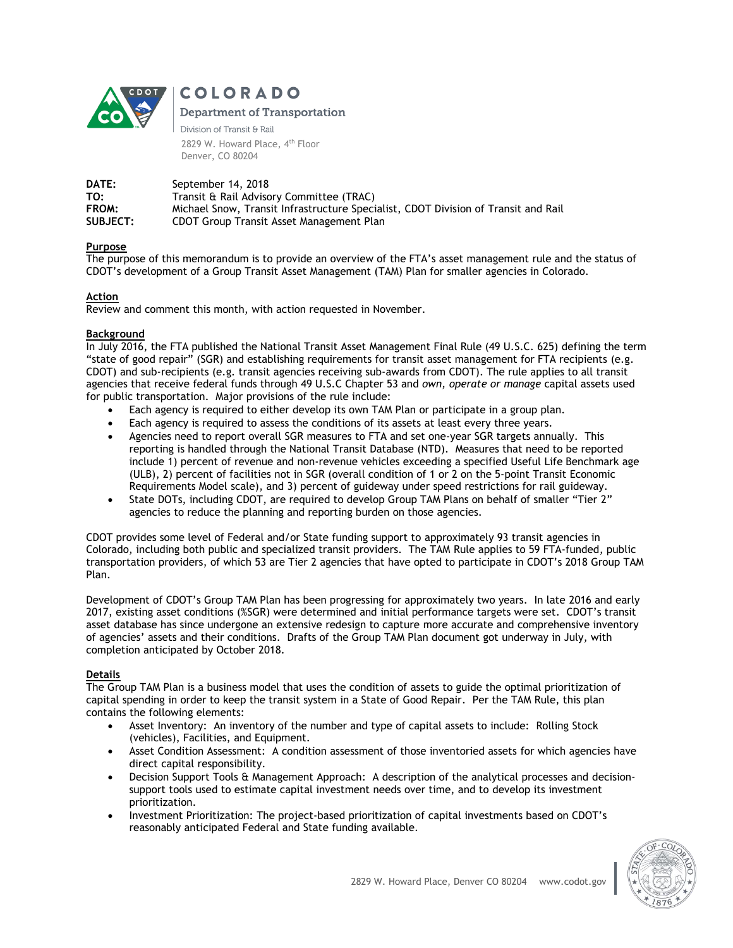

# **COLORADO**

**Department of Transportation** 

Division of Transit & Rail 2829 W. Howard Place, 4<sup>th</sup> Floor Denver, CO 80204

**DATE:** September 14, 2018<br> **TO:** Transit & Rail Adviso Transit & Rail Advisory Committee (TRAC) **FROM:** Michael Snow, Transit Infrastructure Specialist, CDOT Division of Transit and Rail **SUBJECT:** CDOT Group Transit Asset Management Plan

## **Purpose**

The purpose of this memorandum is to provide an overview of the FTA's asset management rule and the status of CDOT's development of a Group Transit Asset Management (TAM) Plan for smaller agencies in Colorado.

# **Action**

Review and comment this month, with action requested in November.

## **Background**

In July 2016, the FTA published the National Transit Asset Management Final Rule (49 U.S.C. 625) defining the term "state of good repair" (SGR) and establishing requirements for transit asset management for FTA recipients (e.g. CDOT) and sub-recipients (e.g. transit agencies receiving sub-awards from CDOT). The rule applies to all transit agencies that receive federal funds through 49 U.S.C Chapter 53 and *own, operate or manage* capital assets used for public transportation. Major provisions of the rule include:

- Each agency is required to either develop its own TAM Plan or participate in a group plan.
- Each agency is required to assess the conditions of its assets at least every three years.
- Agencies need to report overall SGR measures to FTA and set one-year SGR targets annually. This reporting is handled through the National Transit Database (NTD). Measures that need to be reported include 1) percent of revenue and non-revenue vehicles exceeding a specified Useful Life Benchmark age (ULB), 2) percent of facilities not in SGR (overall condition of 1 or 2 on the 5-point Transit Economic Requirements Model scale), and 3) percent of guideway under speed restrictions for rail guideway.
- State DOTs, including CDOT, are required to develop Group TAM Plans on behalf of smaller "Tier 2" agencies to reduce the planning and reporting burden on those agencies.

CDOT provides some level of Federal and/or State funding support to approximately 93 transit agencies in Colorado, including both public and specialized transit providers. The TAM Rule applies to 59 FTA-funded, public transportation providers, of which 53 are Tier 2 agencies that have opted to participate in CDOT's 2018 Group TAM Plan.

Development of CDOT's Group TAM Plan has been progressing for approximately two years. In late 2016 and early 2017, existing asset conditions (%SGR) were determined and initial performance targets were set. CDOT's transit asset database has since undergone an extensive redesign to capture more accurate and comprehensive inventory of agencies' assets and their conditions. Drafts of the Group TAM Plan document got underway in July, with completion anticipated by October 2018.

## **Details**

The Group TAM Plan is a business model that uses the condition of assets to guide the optimal prioritization of capital spending in order to keep the transit system in a State of Good Repair. Per the TAM Rule, this plan contains the following elements:

- Asset Inventory: An inventory of the number and type of capital assets to include: Rolling Stock (vehicles), Facilities, and Equipment.
- Asset Condition Assessment: A condition assessment of those inventoried assets for which agencies have direct capital responsibility.
- Decision Support Tools & Management Approach: A description of the analytical processes and decisionsupport tools used to estimate capital investment needs over time, and to develop its investment prioritization.
- Investment Prioritization: The project-based prioritization of capital investments based on CDOT's reasonably anticipated Federal and State funding available.